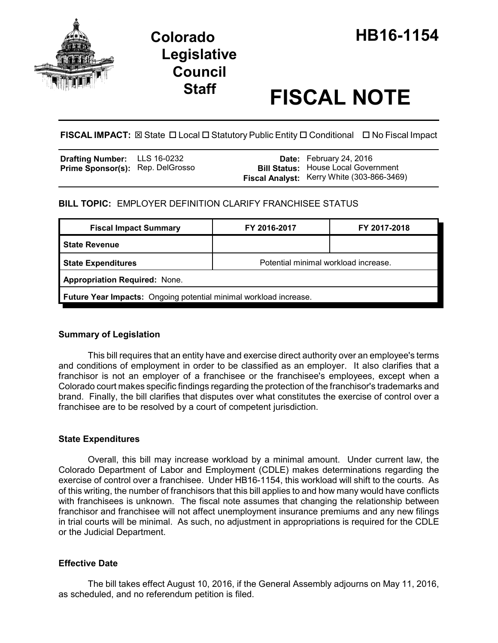

# **Legislative Council**

# **Staff FISCAL NOTE**

**FISCAL IMPACT:** ⊠ State □ Local □ Statutory Public Entity □ Conditional □ No Fiscal Impact

| <b>Drafting Number:</b>          | LLS 16-0232 |
|----------------------------------|-------------|
| Prime Sponsor(s): Rep. DelGrosso |             |

**Date:** February 24, 2016 **Bill Status:** House Local Government **Fiscal Analyst:** Kerry White (303-866-3469)

## **BILL TOPIC:** EMPLOYER DEFINITION CLARIFY FRANCHISEE STATUS

| <b>Fiscal Impact Summary</b>                                      | FY 2016-2017                         | FY 2017-2018 |  |
|-------------------------------------------------------------------|--------------------------------------|--------------|--|
| <b>State Revenue</b>                                              |                                      |              |  |
| <b>State Expenditures</b>                                         | Potential minimal workload increase. |              |  |
| <b>Appropriation Required: None.</b>                              |                                      |              |  |
| Future Year Impacts: Ongoing potential minimal workload increase. |                                      |              |  |

#### **Summary of Legislation**

This bill requires that an entity have and exercise direct authority over an employee's terms and conditions of employment in order to be classified as an employer. It also clarifies that a franchisor is not an employer of a franchisee or the franchisee's employees, except when a Colorado court makes specific findings regarding the protection of the franchisor's trademarks and brand. Finally, the bill clarifies that disputes over what constitutes the exercise of control over a franchisee are to be resolved by a court of competent jurisdiction.

#### **State Expenditures**

Overall, this bill may increase workload by a minimal amount. Under current law, the Colorado Department of Labor and Employment (CDLE) makes determinations regarding the exercise of control over a franchisee. Under HB16-1154, this workload will shift to the courts. As of this writing, the number of franchisors that this bill applies to and how many would have conflicts with franchisees is unknown. The fiscal note assumes that changing the relationship between franchisor and franchisee will not affect unemployment insurance premiums and any new filings in trial courts will be minimal. As such, no adjustment in appropriations is required for the CDLE or the Judicial Department.

### **Effective Date**

The bill takes effect August 10, 2016, if the General Assembly adjourns on May 11, 2016, as scheduled, and no referendum petition is filed.